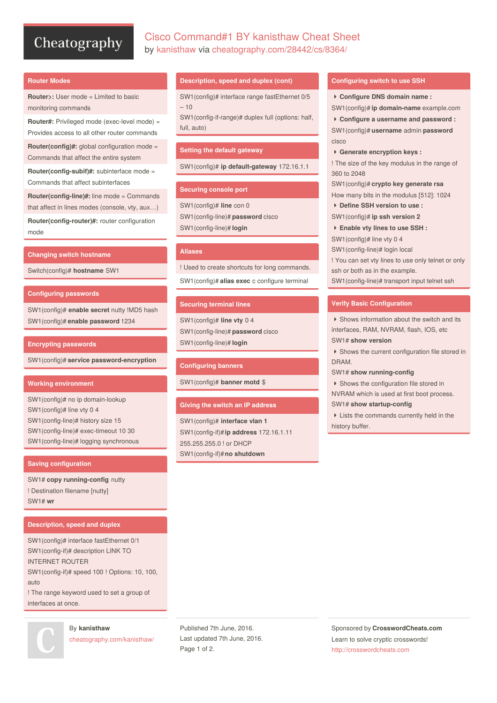# Cheatography

# Cisco Command#1 BY kanisthaw Cheat Sheet by [kanisthaw](http://www.cheatography.com/kanisthaw/) via [cheatography.com/28442/cs/8364/](http://www.cheatography.com/kanisthaw/cheat-sheets/cisco-command-1-by-kanisthaw)

#### **Router Modes**

**Router>:** User mode = Limited to basic monitoring commands

**Router#:** Privileged mode (exec-level mode) = Provides access to all other router commands

**Router(config)#:** global configuration mode = Commands that affect the entire system

**Router(config-subif)#:** subinterface mode = Commands that affect subinterfaces

**Router(config-line)#:** line mode = Commands

that affect in lines modes (console, vty, aux…)

**Router(config-router)#:** router configuration mode

#### **Changing switch hostname**

Switch(config)# **hostname** SW1

#### **Configuring passwords**

SW1(config)# **enable secret** nutty !MD5 hash SW1(config)# **enable password** 1234

#### **Encrypting passwords**

SW1(config)# **service password-encryption**

#### **Working environment**

SW1(config)# no ip domain-lookup SW1(config)# line vty 0 4 SW1(config-line)# history size 15 SW1(config-line)# exec-timeout 10 30 SW1(config-line)# logging synchronous

### **Saving configuration**

SW1# **copy running-config** nutty ! Destination filename [nutty] SW1# **wr**

#### **Description, speed and duplex**

SW1(config)# interface fastEthernet 0/1 SW1(config-if)# description LINK TO INTERNET ROUTER SW1(config-if)# speed 100 ! Options: 10, 100, auto

! The range keyword used to set a group of interfaces at once.

By **kanisthaw**

[cheatography.com/kanisthaw/](http://www.cheatography.com/kanisthaw/)

#### **Description, speed and duplex (cont)**

SW1(config)# interface range fastEthernet 0/5  $-10$ 

SW1(config-if-range)# duplex full (options: half, full, auto)

#### **Setting the default gateway**

SW1(config)# **ip default-gateway** 172.16.1.1

#### **Securing console port**

SW1(config)# **line** con 0 SW1(config-line)# **password** cisco SW1(config-line)# **login**

# **Aliases**

! Used to create shortcuts for long commands.

SW1(config)# **alias exec** c configure terminal

#### **Securing terminal lines**

SW1(config)# **line vty** 0 4 SW1(config-line)# **password** cisco SW1(config-line)# **login**

#### **Configuring banners**

SW1(config)# **banner motd** \$

#### **Giving the switch an IP address**

SW1(config)# **interface vlan 1** SW1(config-if)#**ip address** 172.16.1.11 255.255.255.0 ! or DHCP SW1(config-if)#**no shutdown**

#### **Configuring switch to use SSH**

 **Configure DNS domain name :** SW1(config)# **ip domain-name** example.com **Configure a username and password :**

SW1(config)# **username** admin **password** cisco

**Generate encryption keys :**

! The size of the key modulus in the range of 360 to 2048

SW1(config)# **crypto key generate rsa**

- How many bits in the modulus [512]: 1024 **Define SSH version to use :**
- SW1(config)# **ip ssh version 2**
- **Enable vty lines to use SSH :**
- SW1(config)# line vty 0 4
- SW1(config-line)# login local

! You can set vty lines to use only telnet or only ssh or both as in the example.

SW1(config-line)# transport input telnet ssh

#### **Verify Basic Configuration**

▶ Shows information about the switch and its interfaces, RAM, NVRAM, flash, IOS, etc SW1# **show version**

▶ Shows the current configuration file stored in DRAM.

SW1# **show running-config**

 Shows the configuration file stored in NVRAM which is used at first boot process.

#### SW1# **show startup-config**

 Lists the commands currently held in the history buffer.

Published 7th June, 2016. Last updated 7th June, 2016. Page 1 of 2.

Sponsored by **CrosswordCheats.com** Learn to solve cryptic crosswords! <http://crosswordcheats.com>